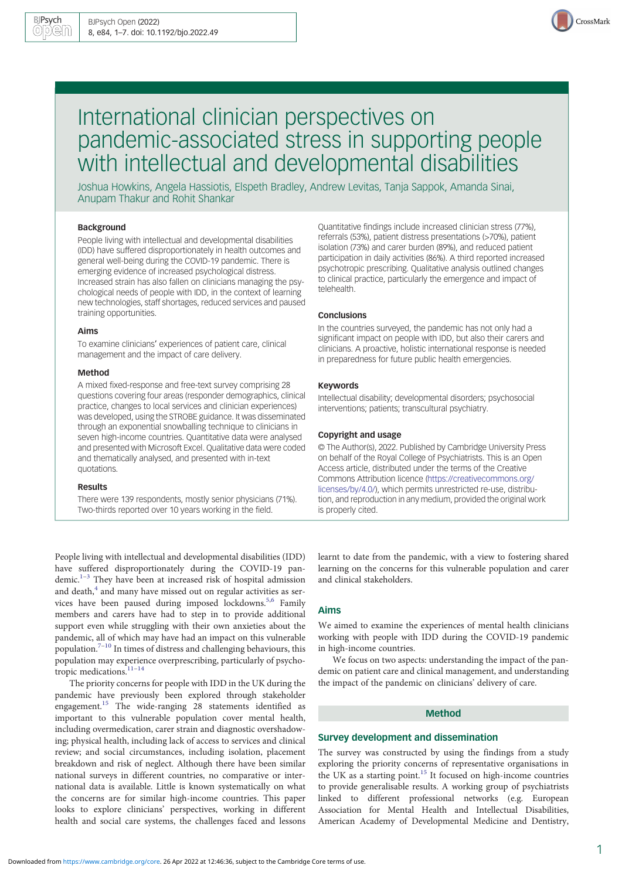

# International clinician perspectives on pandemic-associated stress in supporting people with intellectual and developmental disabilities

Joshua Howkins, Angela Hassiotis, Elspeth Bradley, Andrew Levitas, Tanja Sappok, Amanda Sinai, Anupam Thakur and Rohit Shankar

## Background

People living with intellectual and developmental disabilities (IDD) have suffered disproportionately in health outcomes and general well-being during the COVID-19 pandemic. There is emerging evidence of increased psychological distress. Increased strain has also fallen on clinicians managing the psychological needs of people with IDD, in the context of learning new technologies, staff shortages, reduced services and paused training opportunities.

#### Aims

To examine clinicians' experiences of patient care, clinical management and the impact of care delivery.

## Method

A mixed fixed-response and free-text survey comprising 28 questions covering four areas (responder demographics, clinical practice, changes to local services and clinician experiences) was developed, using the STROBE guidance. It was disseminated through an exponential snowballing technique to clinicians in seven high-income countries. Quantitative data were analysed and presented with Microsoft Excel. Qualitative data were coded and thematically analysed, and presented with in-text quotations.

#### Results

There were 139 respondents, mostly senior physicians (71%). Two-thirds reported over 10 years working in the field.

Quantitative findings include increased clinician stress (77%), referrals (53%), patient distress presentations (>70%), patient isolation (73%) and carer burden (89%), and reduced patient participation in daily activities (86%). A third reported increased psychotropic prescribing. Qualitative analysis outlined changes to clinical practice, particularly the emergence and impact of telehealth.

## **Conclusions**

In the countries surveyed, the pandemic has not only had a significant impact on people with IDD, but also their carers and clinicians. A proactive, holistic international response is needed in preparedness for future public health emergencies.

## Keywords

Intellectual disability; developmental disorders; psychosocial interventions; patients; transcultural psychiatry.

#### Copyright and usage

© The Author(s), 2022. Published by Cambridge University Press on behalf of the Royal College of Psychiatrists. This is an Open Access article, distributed under the terms of the Creative Commons Attribution licence [\(https://creativecommons.org/](https://creativecommons.org/licenses/by/4.0/) [licenses/by/4.0/](https://creativecommons.org/licenses/by/4.0/)), which permits unrestricted re-use, distribution, and reproduction in any medium, provided the original work is properly cited.

People living with intellectual and developmental disabilities (IDD) have suffered disproportionately during the COVID-19 pan-demic.<sup>[1](#page-5-0)–[3](#page-5-0)</sup> They have been at increased risk of hospital admission and death, $4$  and many have missed out on regular activities as ser-vices have been paused during imposed lockdowns.<sup>[5,6](#page-5-0)</sup> Family members and carers have had to step in to provide additional support even while struggling with their own anxieties about the pandemic, all of which may have had an impact on this vulnerable population.<sup>[7](#page-5-0)–[10](#page-6-0)</sup> In times of distress and challenging behaviours, this population may experience overprescribing, particularly of psycho-tropic medications.<sup>[11](#page-6-0)-[14](#page-6-0)</sup>

The priority concerns for people with IDD in the UK during the pandemic have previously been explored through stakeholder engagement.[15](#page-6-0) The wide-ranging 28 statements identified as important to this vulnerable population cover mental health, including overmedication, carer strain and diagnostic overshadowing; physical health, including lack of access to services and clinical review; and social circumstances, including isolation, placement breakdown and risk of neglect. Although there have been similar national surveys in different countries, no comparative or international data is available. Little is known systematically on what the concerns are for similar high-income countries. This paper looks to explore clinicians' perspectives, working in different health and social care systems, the challenges faced and lessons learnt to date from the pandemic, with a view to fostering shared learning on the concerns for this vulnerable population and carer and clinical stakeholders.

## Aims

We aimed to examine the experiences of mental health clinicians working with people with IDD during the COVID-19 pandemic in high-income countries.

We focus on two aspects: understanding the impact of the pandemic on patient care and clinical management, and understanding the impact of the pandemic on clinicians' delivery of care.

## Method

## Survey development and dissemination

The survey was constructed by using the findings from a study exploring the priority concerns of representative organisations in the UK as a starting point.<sup>[15](#page-6-0)</sup> It focused on high-income countries to provide generalisable results. A working group of psychiatrists linked to different professional networks (e.g. European Association for Mental Health and Intellectual Disabilities, American Academy of Developmental Medicine and Dentistry,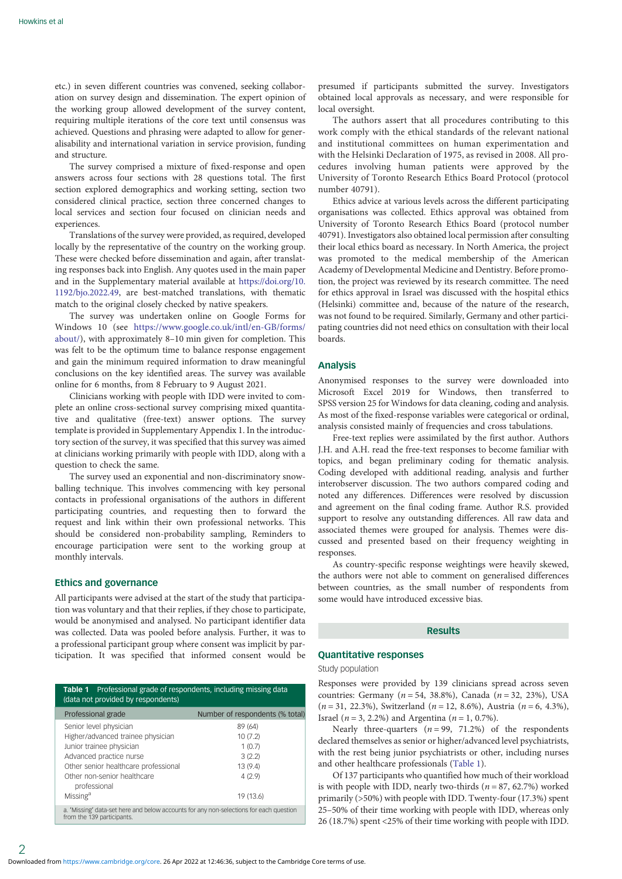etc.) in seven different countries was convened, seeking collaboration on survey design and dissemination. The expert opinion of the working group allowed development of the survey content, requiring multiple iterations of the core text until consensus was achieved. Questions and phrasing were adapted to allow for generalisability and international variation in service provision, funding and structure.

The survey comprised a mixture of fixed-response and open answers across four sections with 28 questions total. The first section explored demographics and working setting, section two considered clinical practice, section three concerned changes to local services and section four focused on clinician needs and experiences.

Translations of the survey were provided, as required, developed locally by the representative of the country on the working group. These were checked before dissemination and again, after translating responses back into English. Any quotes used in the main paper and in the Supplementary material available at [https://doi.org/10.](https://doi.org/10.1192/bjo.2022.49) [1192/bjo.2022.49,](https://doi.org/10.1192/bjo.2022.49) are best-matched translations, with thematic match to the original closely checked by native speakers.

The survey was undertaken online on Google Forms for Windows 10 (see [https://www.google.co.uk/intl/en-GB/forms/](https://www.google.co.uk/intl/en-GB/forms/about/) [about/\)](https://www.google.co.uk/intl/en-GB/forms/about/), with approximately 8–10 min given for completion. This was felt to be the optimum time to balance response engagement and gain the minimum required information to draw meaningful conclusions on the key identified areas. The survey was available online for 6 months, from 8 February to 9 August 2021.

Clinicians working with people with IDD were invited to complete an online cross-sectional survey comprising mixed quantitative and qualitative (free-text) answer options. The survey template is provided in Supplementary Appendix 1. In the introductory section of the survey, it was specified that this survey was aimed at clinicians working primarily with people with IDD, along with a question to check the same.

The survey used an exponential and non-discriminatory snowballing technique. This involves commencing with key personal contacts in professional organisations of the authors in different participating countries, and requesting then to forward the request and link within their own professional networks. This should be considered non-probability sampling, Reminders to encourage participation were sent to the working group at monthly intervals.

## Ethics and governance

All participants were advised at the start of the study that participation was voluntary and that their replies, if they chose to participate, would be anonymised and analysed. No participant identifier data was collected. Data was pooled before analysis. Further, it was to a professional participant group where consent was implicit by participation. It was specified that informed consent would be

| Professional grade of respondents, including missing data<br>Table 1<br>(data not provided by respondents) |                                                                                                                                                                                                                                   |                                                                           |  |  |
|------------------------------------------------------------------------------------------------------------|-----------------------------------------------------------------------------------------------------------------------------------------------------------------------------------------------------------------------------------|---------------------------------------------------------------------------|--|--|
|                                                                                                            | Professional grade                                                                                                                                                                                                                | Number of respondents (% total)                                           |  |  |
|                                                                                                            | Senior level physician<br>Higher/advanced trainee physician<br>Junior trainee physician<br>Advanced practice nurse<br>Other senior healthcare professional<br>Other non-senior healthcare<br>professional<br>Missing <sup>a</sup> | 89 (64)<br>10(7.2)<br>1(0.7)<br>3(2.2)<br>13 (9.4)<br>4(2.9)<br>19 (13.6) |  |  |
|                                                                                                            | a. 'Missing' data-set here and below accounts for any non-selections for each question<br>from the 139 participants.                                                                                                              |                                                                           |  |  |

presumed if participants submitted the survey. Investigators obtained local approvals as necessary, and were responsible for local oversight.

The authors assert that all procedures contributing to this work comply with the ethical standards of the relevant national and institutional committees on human experimentation and with the Helsinki Declaration of 1975, as revised in 2008. All procedures involving human patients were approved by the University of Toronto Research Ethics Board Protocol (protocol number 40791).

Ethics advice at various levels across the different participating organisations was collected. Ethics approval was obtained from University of Toronto Research Ethics Board (protocol number 40791). Investigators also obtained local permission after consulting their local ethics board as necessary. In North America, the project was promoted to the medical membership of the American Academy of Developmental Medicine and Dentistry. Before promotion, the project was reviewed by its research committee. The need for ethics approval in Israel was discussed with the hospital ethics (Helsinki) committee and, because of the nature of the research, was not found to be required. Similarly, Germany and other participating countries did not need ethics on consultation with their local boards.

## Analysis

Anonymised responses to the survey were downloaded into Microsoft Excel 2019 for Windows, then transferred to SPSS version 25 for Windows for data cleaning, coding and analysis. As most of the fixed-response variables were categorical or ordinal, analysis consisted mainly of frequencies and cross tabulations.

Free-text replies were assimilated by the first author. Authors J.H. and A.H. read the free-text responses to become familiar with topics, and began preliminary coding for thematic analysis. Coding developed with additional reading, analysis and further interobserver discussion. The two authors compared coding and noted any differences. Differences were resolved by discussion and agreement on the final coding frame. Author R.S. provided support to resolve any outstanding differences. All raw data and associated themes were grouped for analysis. Themes were discussed and presented based on their frequency weighting in responses.

As country-specific response weightings were heavily skewed, the authors were not able to comment on generalised differences between countries, as the small number of respondents from some would have introduced excessive bias.

## Results

## Quantitative responses

Study population

Responses were provided by 139 clinicians spread across seven countries: Germany ( $n = 54$ , 38.8%), Canada ( $n = 32$ , 23%), USA  $(n = 31, 22.3\%)$ , Switzerland  $(n = 12, 8.6\%)$ , Austria  $(n = 6, 4.3\%)$ , Israel ( $n = 3, 2.2\%$ ) and Argentina ( $n = 1, 0.7\%$ ).

Nearly three-quarters  $(n = 99, 71.2%)$  of the respondents declared themselves as senior or higher/advanced level psychiatrists, with the rest being junior psychiatrists or other, including nurses and other healthcare professionals (Table 1).

Of 137 participants who quantified how much of their workload is with people with IDD, nearly two-thirds ( $n = 87, 62.7\%$ ) worked primarily (>50%) with people with IDD. Twenty-four (17.3%) spent 25–50% of their time working with people with IDD, whereas only 26 (18.7%) spent <25% of their time working with people with IDD.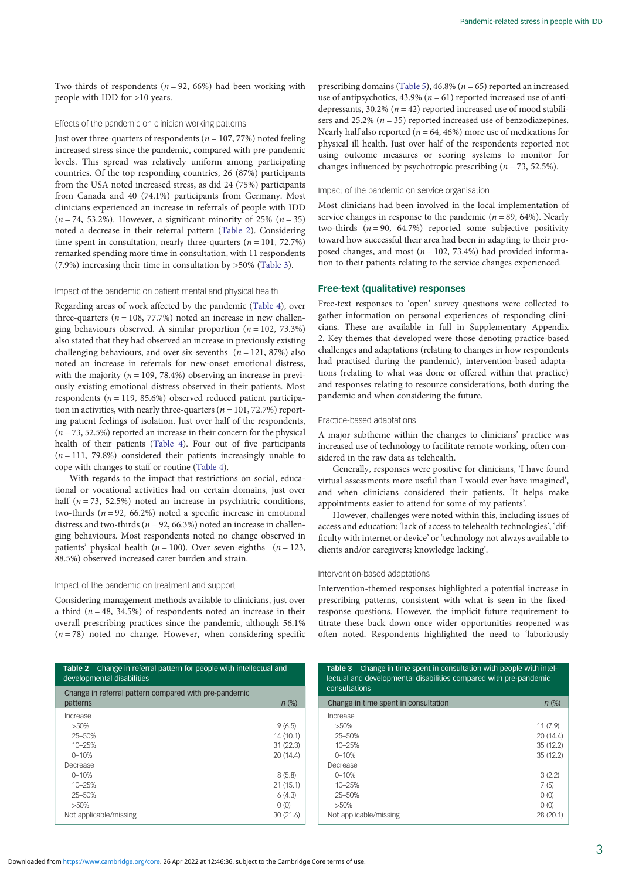Two-thirds of respondents ( $n = 92, 66\%$ ) had been working with people with IDD for >10 years.

## Effects of the pandemic on clinician working patterns

Just over three-quarters of respondents ( $n = 107, 77\%$ ) noted feeling increased stress since the pandemic, compared with pre-pandemic levels. This spread was relatively uniform among participating countries. Of the top responding countries, 26 (87%) participants from the USA noted increased stress, as did 24 (75%) participants from Canada and 40 (74.1%) participants from Germany. Most clinicians experienced an increase in referrals of people with IDD  $(n = 74, 53.2\%)$ . However, a significant minority of 25%  $(n = 35)$ noted a decrease in their referral pattern (Table 2). Considering time spent in consultation, nearly three-quarters ( $n = 101, 72.7\%$ ) remarked spending more time in consultation, with 11 respondents (7.9%) increasing their time in consultation by >50% (Table 3).

## Impact of the pandemic on patient mental and physical health

Regarding areas of work affected by the pandemic ([Table 4\)](#page-3-0), over three-quarters ( $n = 108, 77.7%$ ) noted an increase in new challenging behaviours observed. A similar proportion ( $n = 102, 73.3\%$ ) also stated that they had observed an increase in previously existing challenging behaviours, and over six-sevenths ( $n = 121, 87\%$ ) also noted an increase in referrals for new-onset emotional distress, with the majority ( $n = 109, 78.4\%$ ) observing an increase in previously existing emotional distress observed in their patients. Most respondents ( $n = 119, 85.6\%$ ) observed reduced patient participation in activities, with nearly three-quarters ( $n = 101, 72.7\%$ ) reporting patient feelings of isolation. Just over half of the respondents,  $(n = 73, 52.5%)$  reported an increase in their concern for the physical health of their patients ([Table 4](#page-3-0)). Four out of five participants  $(n = 111, 79.8%)$  considered their patients increasingly unable to cope with changes to staff or routine ([Table 4\)](#page-3-0).

With regards to the impact that restrictions on social, educational or vocational activities had on certain domains, just over half ( $n = 73$ , 52.5%) noted an increase in psychiatric conditions, two-thirds ( $n = 92, 66.2\%$ ) noted a specific increase in emotional distress and two-thirds ( $n = 92, 66.3\%$ ) noted an increase in challenging behaviours. Most respondents noted no change observed in patients' physical health ( $n = 100$ ). Over seven-eighths ( $n = 123$ , 88.5%) observed increased carer burden and strain.

#### Impact of the pandemic on treatment and support

Considering management methods available to clinicians, just over a third ( $n = 48$ , 34.5%) of respondents noted an increase in their overall prescribing practices since the pandemic, although 56.1%  $(n = 78)$  noted no change. However, when considering specific prescribing domains [\(Table 5](#page-4-0)), 46.8% ( $n = 65$ ) reported an increased use of antipsychotics, 43.9% ( $n = 61$ ) reported increased use of antidepressants, 30.2% ( $n = 42$ ) reported increased use of mood stabilisers and 25.2% ( $n = 35$ ) reported increased use of benzodiazepines. Nearly half also reported ( $n = 64, 46\%$ ) more use of medications for physical ill health. Just over half of the respondents reported not using outcome measures or scoring systems to monitor for changes influenced by psychotropic prescribing ( $n = 73, 52.5\%$ ).

## Impact of the pandemic on service organisation

Most clinicians had been involved in the local implementation of service changes in response to the pandemic  $(n = 89, 64\%)$ . Nearly two-thirds  $(n = 90, 64.7%)$  reported some subjective positivity toward how successful their area had been in adapting to their proposed changes, and most ( $n = 102, 73.4%$ ) had provided information to their patients relating to the service changes experienced.

## Free-text (qualitative) responses

Free-text responses to 'open' survey questions were collected to gather information on personal experiences of responding clinicians. These are available in full in Supplementary Appendix 2. Key themes that developed were those denoting practice-based challenges and adaptations (relating to changes in how respondents had practised during the pandemic), intervention-based adaptations (relating to what was done or offered within that practice) and responses relating to resource considerations, both during the pandemic and when considering the future.

#### Practice-based adaptations

A major subtheme within the changes to clinicians' practice was increased use of technology to facilitate remote working, often considered in the raw data as telehealth.

Generally, responses were positive for clinicians, 'I have found virtual assessments more useful than I would ever have imagined', and when clinicians considered their patients, 'It helps make appointments easier to attend for some of my patients'.

However, challenges were noted within this, including issues of access and education: 'lack of access to telehealth technologies', 'difficulty with internet or device' or 'technology not always available to clients and/or caregivers; knowledge lacking'.

#### Intervention-based adaptations

Intervention-themed responses highlighted a potential increase in prescribing patterns, consistent with what is seen in the fixedresponse questions. However, the implicit future requirement to titrate these back down once wider opportunities reopened was often noted. Respondents highlighted the need to 'laboriously

| Change in referral pattern for people with intellectual and<br>Table 2<br>developmental disabilities |           |  |  |
|------------------------------------------------------------------------------------------------------|-----------|--|--|
| Change in referral pattern compared with pre-pandemic                                                |           |  |  |
| patterns                                                                                             | $n$ (%)   |  |  |
| Increase                                                                                             |           |  |  |
| $>50\%$                                                                                              | 9(6.5)    |  |  |
| 25-50%                                                                                               | 14(10.1)  |  |  |
| $10 - 25%$                                                                                           | 31(22.3)  |  |  |
| $0 - 10%$                                                                                            | 20(14.4)  |  |  |
| Decrease                                                                                             |           |  |  |
| $0 - 10%$                                                                                            | 8(5.8)    |  |  |
| $10 - 25%$                                                                                           | 21(15.1)  |  |  |
| 25-50%                                                                                               | 6(4.3)    |  |  |
| $>50\%$                                                                                              | 0(0)      |  |  |
| Not applicable/missing                                                                               | 30 (21.6) |  |  |

| <b>Table 3</b> Change in time spent in consultation with people with intel-<br>lectual and developmental disabilities compared with pre-pandemic<br>consultations |           |  |  |
|-------------------------------------------------------------------------------------------------------------------------------------------------------------------|-----------|--|--|
| Change in time spent in consultation                                                                                                                              | $n$ (%)   |  |  |
| Increase                                                                                                                                                          |           |  |  |
| $>50\%$                                                                                                                                                           | 11(7.9)   |  |  |
| $25 - 50%$                                                                                                                                                        | 20(14.4)  |  |  |
| $10 - 25%$                                                                                                                                                        | 35(12.2)  |  |  |
| $0 - 10%$                                                                                                                                                         | 35 (12.2) |  |  |
| Decrease                                                                                                                                                          |           |  |  |
| $0 - 10%$                                                                                                                                                         | 3(2.2)    |  |  |
| 10-25%                                                                                                                                                            | 7(5)      |  |  |

25–50% 0 (0) >50% 0 (0) Not applicable/missing 28 (20.1)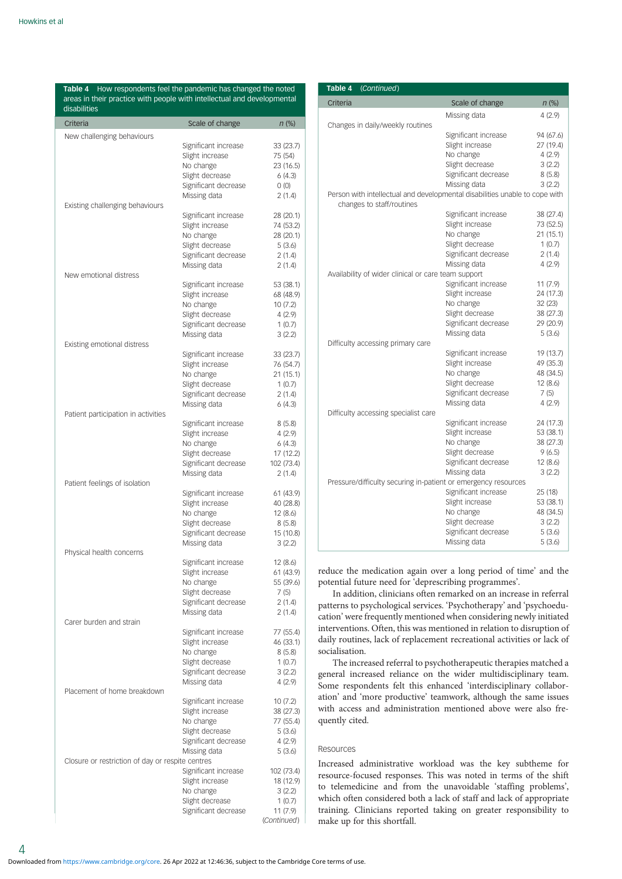<span id="page-3-0"></span>

| Table 4 How respondents feel the pandemic has changed the noted<br>areas in their practice with people with intellectual and developmental<br>disabilities |                                         |                         |  |
|------------------------------------------------------------------------------------------------------------------------------------------------------------|-----------------------------------------|-------------------------|--|
| Criteria                                                                                                                                                   | Scale of change                         | $n$ (%)                 |  |
| New challenging behaviours                                                                                                                                 |                                         |                         |  |
|                                                                                                                                                            | Significant increase                    | 33 (23.7)               |  |
|                                                                                                                                                            | Slight increase                         | 75 (54)                 |  |
|                                                                                                                                                            | No change                               | 23 (16.5)               |  |
|                                                                                                                                                            | Slight decrease<br>Significant decrease | 6(4.3)<br>0(0)          |  |
|                                                                                                                                                            | Missing data                            | 2(1.4)                  |  |
| Existing challenging behaviours                                                                                                                            |                                         |                         |  |
|                                                                                                                                                            | Significant increase                    | 28 (20.1)               |  |
|                                                                                                                                                            | Slight increase                         | 74 (53.2)               |  |
|                                                                                                                                                            | No change                               | 28 (20.1)               |  |
|                                                                                                                                                            | Slight decrease<br>Significant decrease | 5(3.6)                  |  |
|                                                                                                                                                            | Missing data                            | 2(1.4)<br>2(1.4)        |  |
| New emotional distress                                                                                                                                     |                                         |                         |  |
|                                                                                                                                                            | Significant increase                    | 53 (38.1)               |  |
|                                                                                                                                                            | Slight increase                         | 68 (48.9)               |  |
|                                                                                                                                                            | No change                               | 10(7.2)                 |  |
|                                                                                                                                                            | Slight decrease                         | 4(2.9)                  |  |
|                                                                                                                                                            | Significant decrease<br>Missing data    | 1(0.7)<br>3(2.2)        |  |
| Existing emotional distress                                                                                                                                |                                         |                         |  |
|                                                                                                                                                            | Significant increase                    | 33 (23.7)               |  |
|                                                                                                                                                            | Slight increase                         | 76 (54.7)               |  |
|                                                                                                                                                            | No change                               | 21 (15.1)               |  |
|                                                                                                                                                            | Slight decrease                         | 1(0.7)                  |  |
|                                                                                                                                                            | Significant decrease                    | 2(1.4)                  |  |
| Patient participation in activities                                                                                                                        | Missing data                            | 6(4.3)                  |  |
|                                                                                                                                                            | Significant increase                    | 8(5.8)                  |  |
|                                                                                                                                                            | Slight increase                         | 4 (2.9)                 |  |
|                                                                                                                                                            | No change                               | 6(4.3)                  |  |
|                                                                                                                                                            | Slight decrease                         | 17 (12.2)               |  |
|                                                                                                                                                            | Significant decrease                    | 102 (73.4)              |  |
|                                                                                                                                                            | Missing data                            | 2(1.4)                  |  |
| Patient feelings of isolation                                                                                                                              | Significant increase                    | 61 (43.9)               |  |
|                                                                                                                                                            | Slight increase                         | 40 (28.8)               |  |
|                                                                                                                                                            | No change                               | 12(8.6)                 |  |
|                                                                                                                                                            | Slight decrease                         | 8(5.8)                  |  |
|                                                                                                                                                            | Significant decrease                    | 15 (10.8)               |  |
|                                                                                                                                                            | Missing data                            | 3(2.2)                  |  |
| Physical health concerns                                                                                                                                   | Significant increase                    | 12 (8.6)                |  |
|                                                                                                                                                            | Slight increase                         | 61 (43.9)               |  |
|                                                                                                                                                            | No change                               | 55 (39.6)               |  |
|                                                                                                                                                            | Slight decrease                         | 7(5)                    |  |
|                                                                                                                                                            | Significant decrease                    | 2(1.4)                  |  |
| Carer burden and strain                                                                                                                                    | Missing data                            | 2 (1.4)                 |  |
|                                                                                                                                                            | Significant increase                    | 77 (55.4)               |  |
|                                                                                                                                                            | Slight increase                         | 46 (33.1)               |  |
|                                                                                                                                                            | No change                               | 8(5.8)                  |  |
|                                                                                                                                                            | Slight decrease                         | 1(0.7)                  |  |
|                                                                                                                                                            | Significant decrease                    | 3(2.2)                  |  |
|                                                                                                                                                            | Missing data                            | 4(2.9)                  |  |
| Placement of home breakdown                                                                                                                                | Significant increase                    | 10(7.2)                 |  |
|                                                                                                                                                            | Slight increase                         | 38 (27.3)               |  |
|                                                                                                                                                            | No change                               | 77 (55.4)               |  |
|                                                                                                                                                            | Slight decrease                         | 5(3.6)                  |  |
|                                                                                                                                                            | Significant decrease                    | 4(2.9)                  |  |
|                                                                                                                                                            | Missing data                            | 5(3.6)                  |  |
| Closure or restriction of day or respite centres                                                                                                           |                                         |                         |  |
|                                                                                                                                                            | Significant increase<br>Slight increase | 102 (73.4)<br>18 (12.9) |  |
|                                                                                                                                                            | No change                               | 3(2.2)                  |  |
|                                                                                                                                                            | Slight decrease                         | 1(0.7)                  |  |
|                                                                                                                                                            | Significant decrease                    | 11 (7.9)                |  |
|                                                                                                                                                            |                                         | (Continued)             |  |

| Table 4<br>(Continued)                                                      |                      |           |
|-----------------------------------------------------------------------------|----------------------|-----------|
| Criteria                                                                    | Scale of change      | $n$ (%)   |
|                                                                             | Missing data         | 4(2.9)    |
| Changes in daily/weekly routines                                            |                      |           |
|                                                                             | Significant increase | 94 (67.6) |
|                                                                             | Slight increase      | 27 (19.4) |
|                                                                             | No change            | 4(2.9)    |
|                                                                             | Slight decrease      | 3(2.2)    |
|                                                                             | Significant decrease | 8(5.8)    |
|                                                                             | Missing data         | 3(2.2)    |
| Person with intellectual and developmental disabilities unable to cope with |                      |           |
| changes to staff/routines                                                   |                      |           |
|                                                                             | Significant increase | 38 (27.4) |
|                                                                             | Slight increase      | 73 (52.5) |
|                                                                             | No change            | 21 (15.1) |
|                                                                             | Slight decrease      | 1(0.7)    |
|                                                                             | Significant decrease | 2(1.4)    |
|                                                                             | Missing data         | 4(2.9)    |
| Availability of wider clinical or care team support                         |                      |           |
|                                                                             | Significant increase | 11 (7.9)  |
|                                                                             | Slight increase      | 24 (17.3) |
|                                                                             | No change            | 32 (23)   |
|                                                                             | Slight decrease      | 38 (27.3) |
|                                                                             | Significant decrease | 29 (20.9) |
|                                                                             | Missing data         | 5(3.6)    |
| Difficulty accessing primary care                                           |                      |           |
|                                                                             | Significant increase | 19 (13.7) |
|                                                                             | Slight increase      | 49 (35.3) |
|                                                                             | No change            | 48 (34.5) |
|                                                                             | Slight decrease      | 12(8.6)   |
|                                                                             | Significant decrease | 7(5)      |
|                                                                             | Missing data         | 4(2.9)    |
| Difficulty accessing specialist care                                        |                      |           |
|                                                                             | Significant increase | 24 (17.3) |
|                                                                             | Slight increase      | 53 (38.1) |
|                                                                             | No change            | 38 (27.3) |
|                                                                             | Slight decrease      | 9(6.5)    |
|                                                                             | Significant decrease | 12 (8.6)  |
|                                                                             | Missing data         | 3(2.2)    |
| Pressure/difficulty securing in-patient or emergency resources              |                      |           |
|                                                                             | Significant increase | 25 (18)   |
|                                                                             | Slight increase      | 53 (38.1) |
|                                                                             | No change            | 48 (34.5) |
|                                                                             | Slight decrease      | 3(2.2)    |
|                                                                             | Significant decrease | 5(3.6)    |
|                                                                             | Missing data         | 5(3.6)    |

reduce the medication again over a long period of time' and the potential future need for 'deprescribing programmes'.

In addition, clinicians often remarked on an increase in referral patterns to psychological services. 'Psychotherapy' and 'psychoeducation' were frequently mentioned when considering newly initiated interventions. Often, this was mentioned in relation to disruption of daily routines, lack of replacement recreational activities or lack of socialisation.

The increased referral to psychotherapeutic therapies matched a general increased reliance on the wider multidisciplinary team. Some respondents felt this enhanced 'interdisciplinary collaboration' and 'more productive' teamwork, although the same issues with access and administration mentioned above were also frequently cited.

## Resources

Increased administrative workload was the key subtheme for resource-focused responses. This was noted in terms of the shift to telemedicine and from the unavoidable 'staffing problems', which often considered both a lack of staff and lack of appropriate training. Clinicians reported taking on greater responsibility to make up for this shortfall.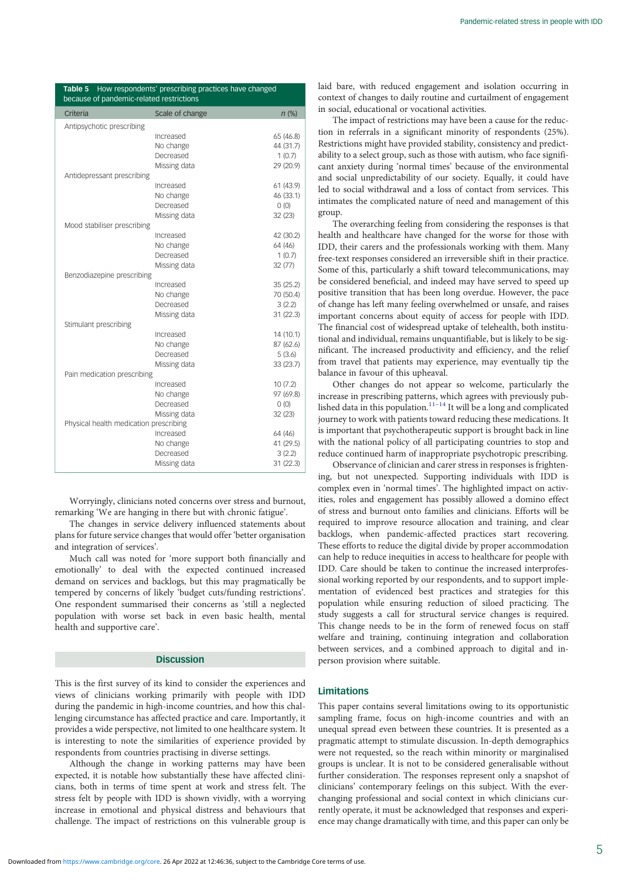<span id="page-4-0"></span>

| Table 5 How respondents' prescribing practices have changed<br>because of pandemic-related restrictions |                        |           |  |  |
|---------------------------------------------------------------------------------------------------------|------------------------|-----------|--|--|
| Criteria                                                                                                | Scale of change        | $n$ (%)   |  |  |
| Antipsychotic prescribing                                                                               |                        |           |  |  |
|                                                                                                         | Increased              | 65 (46.8) |  |  |
|                                                                                                         | No change              | 44 (31.7) |  |  |
|                                                                                                         | Decreased              | 1(0.7)    |  |  |
|                                                                                                         | Missing data           | 29 (20.9) |  |  |
| Antidepressant prescribing                                                                              |                        |           |  |  |
|                                                                                                         | Increased              | 61 (43.9) |  |  |
|                                                                                                         | No change              | 46 (33.1) |  |  |
|                                                                                                         | Decreased              | 0(0)      |  |  |
|                                                                                                         | Missing data           | 32 (23)   |  |  |
| Mood stabiliser prescribing                                                                             |                        |           |  |  |
|                                                                                                         | Increased              | 42 (30.2) |  |  |
|                                                                                                         | No change              | 64 (46)   |  |  |
|                                                                                                         | Decreased              | 1(0.7)    |  |  |
|                                                                                                         | Missing data           | 32 (77)   |  |  |
| Benzodiazepine prescribing                                                                              |                        |           |  |  |
|                                                                                                         | Increased              | 35 (25.2) |  |  |
|                                                                                                         | No change              | 70 (50.4) |  |  |
|                                                                                                         | Decreased              | 3(2.2)    |  |  |
|                                                                                                         | Missing data           | 31 (22.3) |  |  |
| Stimulant prescribing                                                                                   |                        |           |  |  |
|                                                                                                         | Increased              | 14 (10.1) |  |  |
|                                                                                                         | No change<br>Decreased | 87 (62.6) |  |  |
|                                                                                                         |                        | 5(3.6)    |  |  |
| Pain medication prescribing                                                                             | Missing data           | 33 (23.7) |  |  |
|                                                                                                         | Increased              | 10(7.2)   |  |  |
|                                                                                                         | No change              | 97 (69.8) |  |  |
|                                                                                                         | Decreased              | 0(0)      |  |  |
|                                                                                                         | Missing data           | 32 (23)   |  |  |
| Physical health medication prescribing                                                                  |                        |           |  |  |
|                                                                                                         | Increased              | 64 (46)   |  |  |
|                                                                                                         | No change              | 41 (29.5) |  |  |
|                                                                                                         | Decreased              | 3(2.2)    |  |  |
|                                                                                                         | Missing data           | 31(22.3)  |  |  |
|                                                                                                         |                        |           |  |  |

Worryingly, clinicians noted concerns over stress and burnout, remarking 'We are hanging in there but with chronic fatigue'.

The changes in service delivery influenced statements about plans for future service changes that would offer 'better organisation and integration of services'.

Much call was noted for 'more support both financially and emotionally' to deal with the expected continued increased demand on services and backlogs, but this may pragmatically be tempered by concerns of likely 'budget cuts/funding restrictions'. One respondent summarised their concerns as 'still a neglected population with worse set back in even basic health, mental health and supportive care'.

## **Discussion**

This is the first survey of its kind to consider the experiences and views of clinicians working primarily with people with IDD during the pandemic in high-income countries, and how this challenging circumstance has affected practice and care. Importantly, it provides a wide perspective, not limited to one healthcare system. It is interesting to note the similarities of experience provided by respondents from countries practising in diverse settings.

Although the change in working patterns may have been expected, it is notable how substantially these have affected clinicians, both in terms of time spent at work and stress felt. The stress felt by people with IDD is shown vividly, with a worrying increase in emotional and physical distress and behaviours that challenge. The impact of restrictions on this vulnerable group is

laid bare, with reduced engagement and isolation occurring in context of changes to daily routine and curtailment of engagement in social, educational or vocational activities.

The impact of restrictions may have been a cause for the reduction in referrals in a significant minority of respondents (25%). Restrictions might have provided stability, consistency and predictability to a select group, such as those with autism, who face significant anxiety during 'normal times' because of the environmental and social unpredictability of our society. Equally, it could have led to social withdrawal and a loss of contact from services. This intimates the complicated nature of need and management of this group.

The overarching feeling from considering the responses is that health and healthcare have changed for the worse for those with IDD, their carers and the professionals working with them. Many free-text responses considered an irreversible shift in their practice. Some of this, particularly a shift toward telecommunications, may be considered beneficial, and indeed may have served to speed up positive transition that has been long overdue. However, the pace of change has left many feeling overwhelmed or unsafe, and raises important concerns about equity of access for people with IDD. The financial cost of widespread uptake of telehealth, both institutional and individual, remains unquantifiable, but is likely to be significant. The increased productivity and efficiency, and the relief from travel that patients may experience, may eventually tip the balance in favour of this upheaval.

Other changes do not appear so welcome, particularly the increase in prescribing patterns, which agrees with previously published data in this population. $11-14$  $11-14$  $11-14$  It will be a long and complicated journey to work with patients toward reducing these medications. It is important that psychotherapeutic support is brought back in line with the national policy of all participating countries to stop and reduce continued harm of inappropriate psychotropic prescribing.

Observance of clinician and carer stress in responses is frightening, but not unexpected. Supporting individuals with IDD is complex even in 'normal times'. The highlighted impact on activities, roles and engagement has possibly allowed a domino effect of stress and burnout onto families and clinicians. Efforts will be required to improve resource allocation and training, and clear backlogs, when pandemic-affected practices start recovering. These efforts to reduce the digital divide by proper accommodation can help to reduce inequities in access to healthcare for people with IDD. Care should be taken to continue the increased interprofessional working reported by our respondents, and to support implementation of evidenced best practices and strategies for this population while ensuring reduction of siloed practicing. The study suggests a call for structural service changes is required. This change needs to be in the form of renewed focus on staff welfare and training, continuing integration and collaboration between services, and a combined approach to digital and inperson provision where suitable.

# Limitations

This paper contains several limitations owing to its opportunistic sampling frame, focus on high-income countries and with an unequal spread even between these countries. It is presented as a pragmatic attempt to stimulate discussion. In-depth demographics were not requested, so the reach within minority or marginalised groups is unclear. It is not to be considered generalisable without further consideration. The responses represent only a snapshot of clinicians' contemporary feelings on this subject. With the everchanging professional and social context in which clinicians currently operate, it must be acknowledged that responses and experience may change dramatically with time, and this paper can only be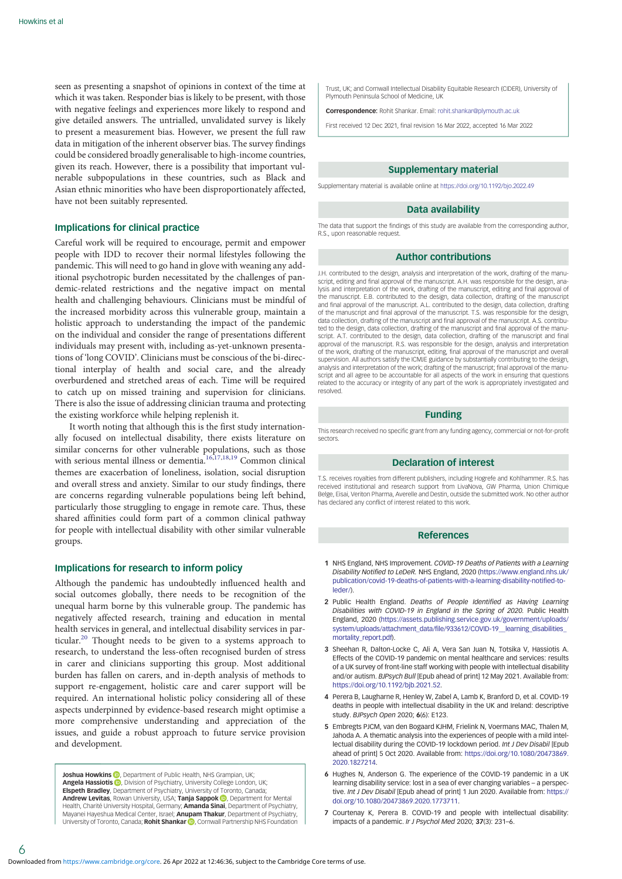<span id="page-5-0"></span>seen as presenting a snapshot of opinions in context of the time at which it was taken. Responder bias is likely to be present, with those with negative feelings and experiences more likely to respond and give detailed answers. The untrialled, unvalidated survey is likely to present a measurement bias. However, we present the full raw data in mitigation of the inherent observer bias. The survey findings could be considered broadly generalisable to high-income countries, given its reach. However, there is a possibility that important vulnerable subpopulations in these countries, such as Black and Asian ethnic minorities who have been disproportionately affected, have not been suitably represented.

## Implications for clinical practice

Careful work will be required to encourage, permit and empower people with IDD to recover their normal lifestyles following the pandemic. This will need to go hand in glove with weaning any additional psychotropic burden necessitated by the challenges of pandemic-related restrictions and the negative impact on mental health and challenging behaviours. Clinicians must be mindful of the increased morbidity across this vulnerable group, maintain a holistic approach to understanding the impact of the pandemic on the individual and consider the range of presentations different individuals may present with, including as-yet-unknown presentations of 'long COVID'. Clinicians must be conscious of the bi-directional interplay of health and social care, and the already overburdened and stretched areas of each. Time will be required to catch up on missed training and supervision for clinicians. There is also the issue of addressing clinician trauma and protecting the existing workforce while helping replenish it.

It worth noting that although this is the first study internationally focused on intellectual disability, there exists literature on similar concerns for other vulnerable populations, such as those with serious mental illness or dementia.<sup>[16](#page-6-0),[17](#page-6-0),[18](#page-6-0),[19](#page-6-0)</sup> Common clinical themes are exacerbation of loneliness, isolation, social disruption and overall stress and anxiety. Similar to our study findings, there are concerns regarding vulnerable populations being left behind, particularly those struggling to engage in remote care. Thus, these shared affinities could form part of a common clinical pathway for people with intellectual disability with other similar vulnerable groups.

## Implications for research to inform policy

Although the pandemic has undoubtedly influenced health and social outcomes globally, there needs to be recognition of the unequal harm borne by this vulnerable group. The pandemic has negatively affected research, training and education in mental health services in general, and intellectual disability services in par-ticular.<sup>[20](#page-6-0)</sup> Thought needs to be given to a systems approach to research, to understand the less-often recognised burden of stress in carer and clinicians supporting this group. Most additional burden has fallen on carers, and in-depth analysis of methods to support re-engagement, holistic care and carer support will be required. An international holistic policy considering all of these aspects underpinned by evidence-based research might optimise a more comprehensive understanding and appreciation of the issues, and guide a robust approach to future service provision and development.

**Joshua Howkins <b>D** Department of Public Health[,](https://orcid.org/0000-0002-4289-2946) NHS Grampian, UK; Angela Hassiotis **D**[,](https://orcid.org/0000-0002-9800-3909) Division of Psychiatry, University College London, UK; Elspeth Bradley, Department of Psychiatry, University of Toronto, Canada; Andrew Levitas, Rowan University, USA; Tanja Sappok D, Department for Mental Health, Charité University Hospital, Germany; **Amanda Sinai**, Department of Psychiatry, Mayanei Hayeshua Medical Center, Israel; **Anupam Thakur**, Department of Psychiatry, University of Toronto, Canada; **Rohit Shankar D**, Cornwall Partnership NHS Foundation

Trust, UK; and Cornwall Intellectual Disability Equitable Research (CIDER), University of Plymouth Peninsula School of Medicine, UK

Correspondence: Rohit Shankar. Email: [rohit.shankar@plymouth.ac.uk](mailto:rohit.shankar@plymouth.ac.uk)

First received 12 Dec 2021, final revision 16 Mar 2022, accepted 16 Mar 2022

## Supplementary material

Supplementary material is available online at <https://doi.org/10.1192/bjo.2022.49>

# Data availability

The data that support the findings of this study are available from the corresponding author R.S., upon reasonable request.

#### Author contributions

J.H. contributed to the design, analysis and interpretation of the work, drafting of the manuscript, editing and final approval of the manuscript. A.H. was responsible for the design, ana-<br>script, editing and final approval of the manuscript. A.H. was responsible for the design, analysis and interpretation of the work, drafting of the manuscript, editing and final approval of the manuscript. E.B. contributed to the design, data collection, drafting of the manuscript and final approval of the manuscript. A.L. contributed to the design, data collection, drafting of the manuscript and final approval of the manuscript. T.S. was responsible for the design, data collection, drafting of the manuscript and final approval of the manuscript. A.S. contributed to the design, data collection, drafting of the manuscript and final approval of the manuscript. A.T. contributed to the design, data collection, drafting of the manuscript and final approval of the manuscript. R.S. was responsible for the design, analysis and interpretation of the work, drafting of the manuscript, editing, final approval of the manuscript and overall supervision. All authors satisfy the ICMJE guidance by substantially contributing to the design, analysis and interpretation of the work; drafting of the manuscript; final approval of the manuscript and all agree to be accountable for all aspects of the work in ensuring that questions related to the accuracy or integrity of any part of the work is appropriately investigated and resolved.

#### Funding

This research received no specific grant from any funding agency, commercial or not-for-profit sectors.

#### Declaration of interest

T.S. receives royalties from different publishers, including Hogrefe and Kohlhammer. R.S. has received institutional and research support from LivaNova, GW Pharma, Union Chimique Belge, Eisai, Veriton Pharma, Averelle and Destin, outside the submitted work. No other author has declared any conflict of interest related to this work.

#### References

- 1 NHS England, NHS Improvement. COVID-19 Deaths of Patients with a Learning Disability Notified to LeDeR. NHS England, 2020 [\(https://www.england.nhs.uk/](https://www.england.nhs.uk/publication/covid-19-deaths-of-patients-with-a-learning-disability-notified-to-leder/) [publication/covid-19-deaths-of-patients-with-a-learning-disability-notified-to](https://www.england.nhs.uk/publication/covid-19-deaths-of-patients-with-a-learning-disability-notified-to-leder/)[leder/\)](https://www.england.nhs.uk/publication/covid-19-deaths-of-patients-with-a-learning-disability-notified-to-leder/).
- 2 Public Health England. Deaths of People Identified as Having Learning Disabilities with COVID-19 in England in the Spring of 2020. Public Health England, 2020 ([https://assets.publishing.service.gov.uk/government/uploads/](https://assets.publishing.service.gov.uk/government/uploads/system/uploads/attachment_data/file/933612/COVID-19__learning_disabilities_mortality_report.pdf) [system/uploads/attachment\\_data/file/933612/COVID-19\\_\\_learning\\_disabilities\\_](https://assets.publishing.service.gov.uk/government/uploads/system/uploads/attachment_data/file/933612/COVID-19__learning_disabilities_mortality_report.pdf) [mortality\\_report.pdf](https://assets.publishing.service.gov.uk/government/uploads/system/uploads/attachment_data/file/933612/COVID-19__learning_disabilities_mortality_report.pdf)).
- 3 Sheehan R, Dalton-Locke C, Ali A, Vera San Juan N, Totsika V, Hassiotis A. Effects of the COVID-19 pandemic on mental healthcare and services: results of a UK survey of front-line staff working with people with intellectual disability and/or autism. BJPsych Bull [Epub ahead of print] 12 May 2021. Available from: [https://doi.org/10.1192/bjb.2021.52.](https://doi.org/10.1192/bjb.2021.52)
- 4 Perera B, Laugharne R, Henley W, Zabel A, Lamb K, Branford D, et al. COVID-19 deaths in people with intellectual disability in the UK and Ireland: descriptive study. BJPsych Open 2020; 6(6): E123.
- 5 Embregts PJCM, van den Bogaard KJHM, Frielink N, Voermans MAC, Thalen M, Jahoda A. A thematic analysis into the experiences of people with a mild intellectual disability during the COVID-19 lockdown period. Int J Dev Disabil [Epub ahead of print] 5 Oct 2020. Available from: [https://doi.org/10.1080/20473869.](https://doi.org/10.1080/20473869.2020.1827214) [2020.1827214.](https://doi.org/10.1080/20473869.2020.1827214)
- 6 Hughes N, Anderson G. The experience of the COVID-19 pandemic in a UK learning disability service: lost in a sea of ever changing variables – a perspective. Int J Dev Disabil [Epub ahead of print] 1 Jun 2020. Available from: [https://](https://doi.org/10.1080/20473869.2020.1773711) [doi.org/10.1080/20473869.2020.1773711](https://doi.org/10.1080/20473869.2020.1773711).
- 7 Courtenay K, Perera B. COVID-19 and people with intellectual disability: impacts of a pandemic. Ir J Psychol Med 2020; 37(3): 231–6.